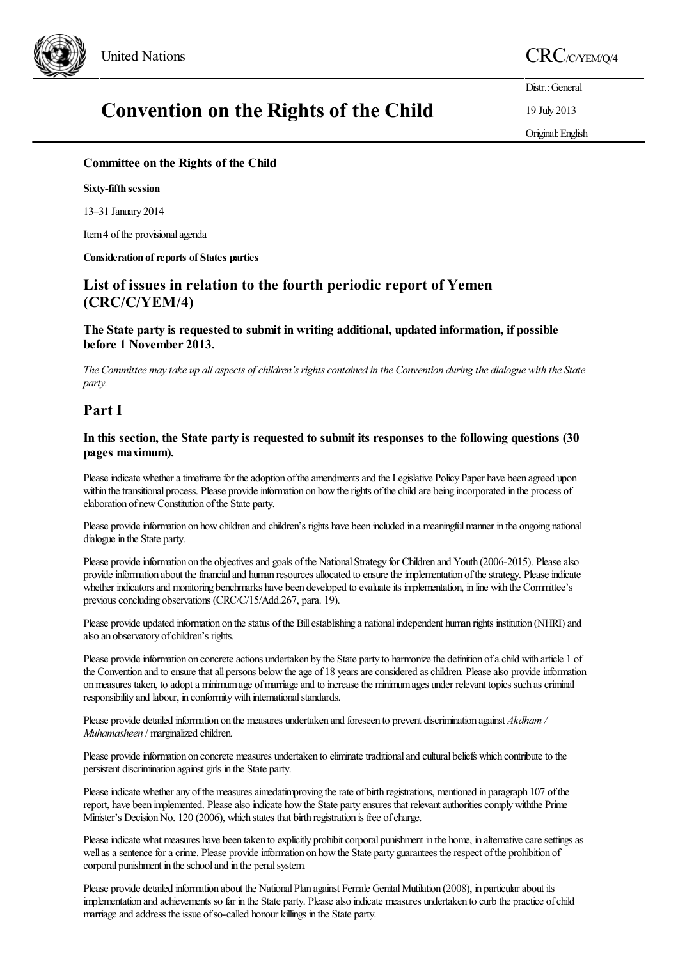

# **Convention on the Rights of the Child**

United Nations CRC/C/YEM/O/4

Distr.: General

19 July 2013

Original:English

## **Committee on the Rights of the Child**

#### **Sixty-fifth session**

13–31 January 2014

Item 4 of the provisional agenda

#### **Consideration** of reports of States parties

# **List of issues in relation to the fourth periodic report of Yemen (CRC/C/YEM/4)**

**The State party is requested to submit in writing additional, updated information, if possible before 1 November 2013.**

The Committee may take up all aspects of children's rights contained in the Convention during the dialogue with the State *party.*

## **Part I**

## **In this section, the State party is requested to submit its responses to the following questions (30 pages maximum).**

Please indicate whether a timeframe for the adoption of the amendments and the Legislative Policy Paper have been agreed upon within the transitional process. Please provide information on how the rights of the child are being incorporated in the process of elaboration of new Constitution of the State party.

Please provide information on how children and children's rights have been included in a meaningful manner in the ongoing national dialogue in the State party.

Please provide information on the objectives and goals of the National Strategy for Children and Youth (2006-2015). Please also provide information about the financial and human resources allocated to ensure the implementation of the strategy. Please indicate whether indicators and monitoring benchmarks have been developed to evaluate its implementation, in line with the Committee's previous concluding observations (CRC/C/15/Add.267, para. 19).

Please provide updated information on the status of the Bill establishing a national independent human rights institution (NHRI) and also an observatory of children's rights.

Please provide information on concrete actions undertaken by the State party to harmonize the definition of a child with article 1 of the Convention and to ensure that all persons below the age of 18 years are considered as children. Please also provide information on measures taken, to adopt a minimum age of marriage and to increase the minimum ages under relevant topics such as criminal responsibility and labour, in conformity with international standards.

Please provide detailed information on the measures undertaken and foreseen to prevent discrimination against *Akdham / Muhamasheen* / marginalized children.

Please provide information on concrete measures undertaken to eliminate traditional and cultural beliefs which contribute to the persistent discrimination against girls in the State party.

Please indicate whether any of the measures aimedatimproving the rate of birth registrations, mentioned in paragraph 107 of the report, have been implemented. Please also indicate how the State party ensures that relevant authorities comply withthe Prime Minister's Decision No. 120 (2006), which states that birth registration is free of charge.

Please indicate what measures have been taken to explicitly prohibit corporal punishment in the home, in alternative care settings as well as a sentence for a crime. Please provide information on how the State party guarantees the respect of the prohibition of corporal punishment in the school and in the penal system.

Please provide detailed information about the National Plan against Female Genital Mutilation (2008), in particular about its implementation and achievements so far in the State party. Please also indicate measures undertaken to curb the practice of child marriage and address the issue of so-called honour killings in the State party.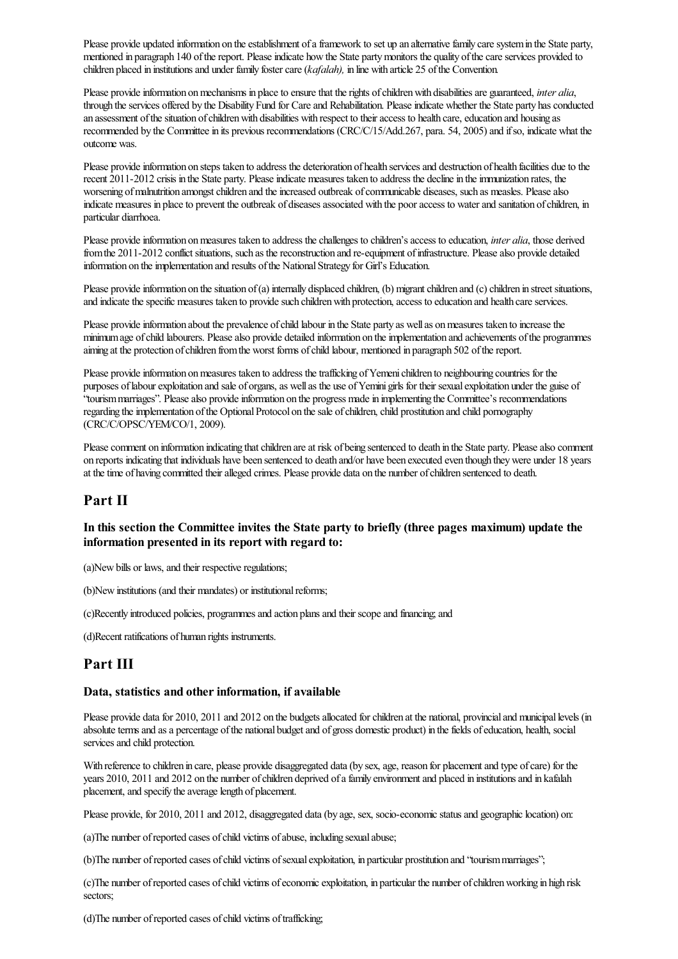Please provide updated information on the establishment of a framework to set up an alternative family care system in the State party, mentioned in paragraph 140 of the report. Please indicate how the State party monitors the quality of the care services provided to children placed in institutionsand under family fostercare(*kafalah),* in line with article 25 ofthe Convention*.*

Please provide information on mechanisms in place to ensure that the rights of children with disabilities are guaranteed, *inter alia*, through the services offered by the Disability Fund for Care and Rehabilitation. Please indicate whether the State party has conducted an assessment of the situation of children with disabilities with respect to their access to health care, education and housing as recommended by the Committee in its previous recommendations (CRC/C/15/Add.267, para. 54, 2005) and if so, indicate what the outcome was.

Please provide information on steps taken to address the deterioration of health services and destruction of health facilities due to the recent 2011-2012 crisis in the State party. Please indicate measures taken to address the decline in the immunization rates, the worsening of malnutrition amongst children and the increased outbreak of communicable diseases, such as measles. Please also indicate measures in place to prevent the outbreak of diseases associated with the poor access to water and sanitation of children, in particular diarrhoea.

Please provide information on measures taken to address the challenges to children's access to education, *inter alia*, those derived from the 2011-2012 conflict situations, such as the reconstruction and re-equipment of infrastructure. Please also provide detailed information on the implementation and results of the National Strategy for Girl's Education.

Please provide information on the situation of (a) internally displaced children, (b) migrant children and (c) children in street situations, and indicate the specific measures taken to provide such children with protection, access to education and health care services.

Please provide information about the prevalence of child labour in the State party as well as on measures taken to increase the minimum age of child labourers. Please also provide detailed information on the implementation and achievements of the programmes aiming at the protection ofchildren fromthe worst forms ofchild labour, mentioned in paragraph 502 ofthereport.

Please provide information on measures taken to address the trafficking of Yemeni children to neighbouring countries for the purposes of labour exploitation and sale of organs, as well as the use of Yemini girls for their sexual exploitation under the guise of "tourism marriages". Please also provide information on the progress made in implementing the Committee's recommendations regarding the implementation of the Optional Protocol on the sale of children, child prostitution and child pornography (CRC/C/OPSC/YEM/CO/1, 2009).

Please comment on information indicating that children are at risk of being sentenced to death in the State party. Please also comment on reports indicating that individuals have been sentenced to death and/or have been executed even though theywere under 18 years at the time of having committed their alleged crimes. Please provide data on the number of children sentenced to death.

## **Part II**

## **In this section the Committee invites the State party to briefly (three pages maximum) update the information presented in its report with regard to:**

(a)New bills or laws, and their respective regulations;

(b)New institutions (and their mandates) or institutional reforms;

(c)Recently introduced policies, programmesand action plansand their scopeand financing;and

(d)Recent ratifications of human rights instruments.

# **Part III**

#### **Data, statistics and otherinformation, if available**

Please provide data for 2010, 2011 and 2012 on the budgets allocated for children at the national, provincial and municipal levels (in absolute terms and as a percentage of the national budget and of gross domestic product) in the fields of education, health, social services and child protection.

With reference to children in care, please provide disaggregated data (by sex, age, reason for placement and type of care) for the years 2010, 2011 and 2012 on the number of children deprived of a family environment and placed in institutions and in kafalah placement, and specify the average length of placement.

Please provide, for 2010, 2011 and 2012, disaggregated data (by age, sex, socio-economic status and geographic location) on:

(a)The number of reported cases of child victims of abuse, including sexual abuse;

(b)The number ofreported cases ofchild victims ofsexualexploitation, in particular prostitution and "tourismmarriages";

(c)The number ofreported cases ofchild victims ofeconomicexploitation, in particular the number ofchildrenworking in high risk sectors;

(d) The number of reported cases of child victims of trafficking;